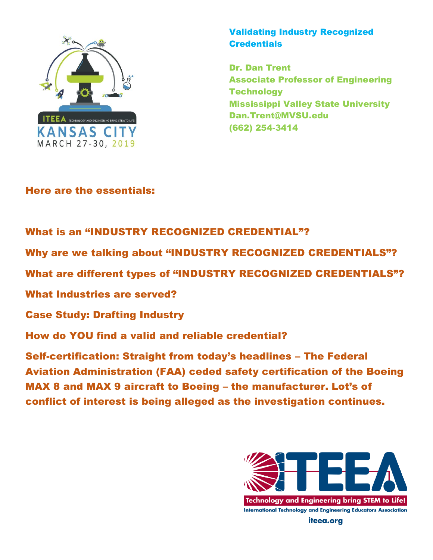

Dr. Dan Trent Associate Professor of Engineering **Technology** Mississippi Valley State University Dan.Trent@MVSU.edu (662) 254-3414

### Here are the essentials:

What is an "INDUSTRY RECOGNIZED CREDENTIAL"?

Why are we talking about "INDUSTRY RECOGNIZED CREDENTIALS"?

What are different types of "INDUSTRY RECOGNIZED CREDENTIALS"?

What Industries are served?

Case Study: Drafting Industry

How do YOU find a valid and reliable credential?

Self-certification: Straight from today's headlines – The Federal Aviation Administration (FAA) ceded safety certification of the Boeing MAX 8 and MAX 9 aircraft to Boeing – the manufacturer. Lot's of conflict of interest is being alleged as the investigation continues.

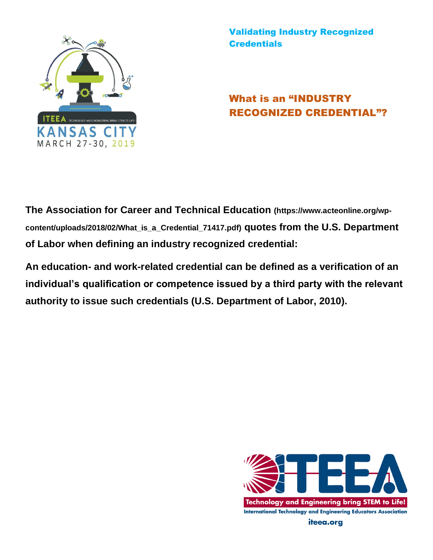

# What is an "INDUSTRY RECOGNIZED CREDENTIAL"?

**The Association for Career and Technical Education (https://www.acteonline.org/wpcontent/uploads/2018/02/What\_is\_a\_Credential\_71417.pdf) quotes from the U.S. Department of Labor when defining an industry recognized credential:** 

**An education- and work-related credential can be defined as a verification of an individual's qualification or competence issued by a third party with the relevant authority to issue such credentials (U.S. Department of Labor, 2010).** 

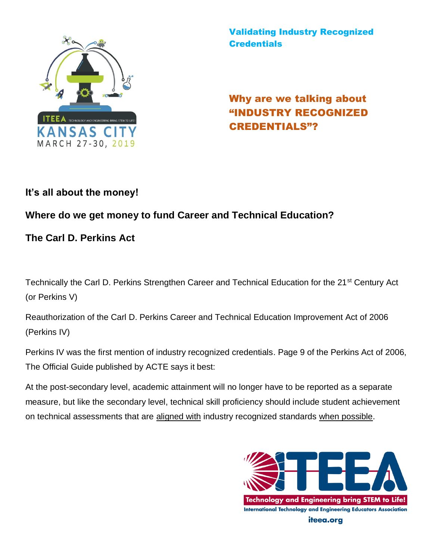

Why are we talking about "INDUSTRY RECOGNIZED CREDENTIALS"?

## **It's all about the money!**

## **Where do we get money to fund Career and Technical Education?**

### **The Carl D. Perkins Act**

Technically the Carl D. Perkins Strengthen Career and Technical Education for the 21<sup>st</sup> Century Act (or Perkins V)

Reauthorization of the Carl D. Perkins Career and Technical Education Improvement Act of 2006 (Perkins IV)

Perkins IV was the first mention of industry recognized credentials. Page 9 of the Perkins Act of 2006, The Official Guide published by ACTE says it best:

At the post-secondary level, academic attainment will no longer have to be reported as a separate measure, but like the secondary level, technical skill proficiency should include student achievement on technical assessments that are aligned with industry recognized standards when possible.

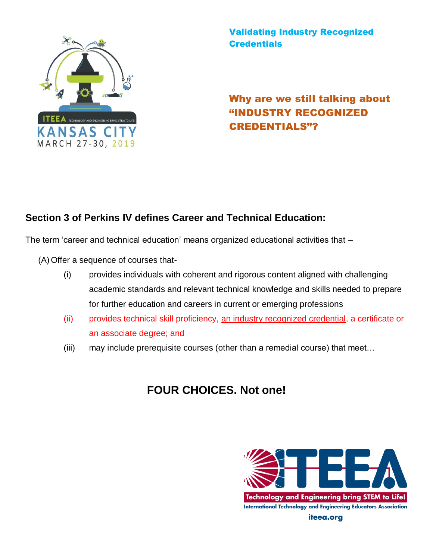

# Why are we still talking about "INDUSTRY RECOGNIZED CREDENTIALS"?

## **Section 3 of Perkins IV defines Career and Technical Education:**

The term 'career and technical education' means organized educational activities that –

(A) Offer a sequence of courses that-

- (i) provides individuals with coherent and rigorous content aligned with challenging academic standards and relevant technical knowledge and skills needed to prepare for further education and careers in current or emerging professions
- (ii) provides technical skill proficiency, an industry recognized credential, a certificate or an associate degree; and
- (iii) may include prerequisite courses (other than a remedial course) that meet…

# **FOUR CHOICES. Not one!**

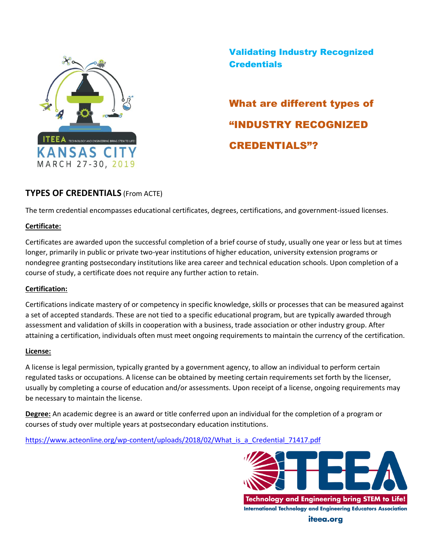

What are different types of "INDUSTRY RECOGNIZED CREDENTIALS"?

#### **TYPES OF CREDENTIALS** (From ACTE)

The term credential encompasses educational certificates, degrees, certifications, and government-issued licenses.

#### **Certificate:**

Certificates are awarded upon the successful completion of a brief course of study, usually one year or less but at times longer, primarily in public or private two-year institutions of higher education, university extension programs or nondegree granting postsecondary institutions like area career and technical education schools. Upon completion of a course of study, a certificate does not require any further action to retain.

#### **Certification:**

Certifications indicate mastery of or competency in specific knowledge, skills or processes that can be measured against a set of accepted standards. These are not tied to a specific educational program, but are typically awarded through assessment and validation of skills in cooperation with a business, trade association or other industry group. After attaining a certification, individuals often must meet ongoing requirements to maintain the currency of the certification.

#### **License:**

A license is legal permission, typically granted by a government agency, to allow an individual to perform certain regulated tasks or occupations. A license can be obtained by meeting certain requirements set forth by the licenser, usually by completing a course of education and/or assessments. Upon receipt of a license, ongoing requirements may be necessary to maintain the license.

**Degree:** An academic degree is an award or title conferred upon an individual for the completion of a program or courses of study over multiple years at postsecondary education institutions.

https://www.acteonline.org/wp-content/uploads/2018/02/What is a Credential 71417.pdf

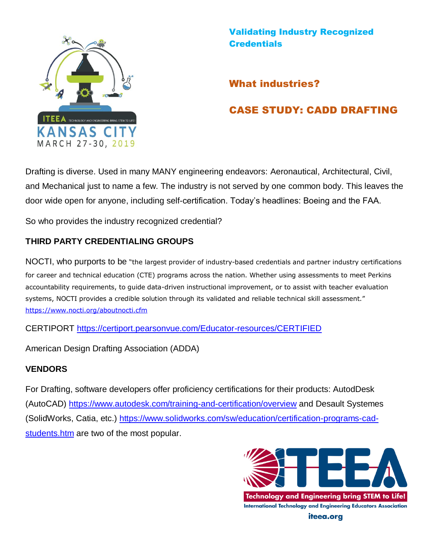

### What industries?

## CASE STUDY: CADD DRAFTING

Drafting is diverse. Used in many MANY engineering endeavors: Aeronautical, Architectural, Civil, and Mechanical just to name a few. The industry is not served by one common body. This leaves the door wide open for anyone, including self-certification. Today's headlines: Boeing and the FAA.

So who provides the industry recognized credential?

#### **THIRD PARTY CREDENTIALING GROUPS**

NOCTI, who purports to be "the largest provider of industry-based credentials and partner industry certifications for career and technical education (CTE) programs across the nation. Whether using assessments to meet Perkins accountability requirements, to guide data-driven instructional improvement, or to assist with teacher evaluation systems, NOCTI provides a credible solution through its validated and reliable technical skill assessment." <https://www.nocti.org/aboutnocti.cfm>

CERTIPORT<https://certiport.pearsonvue.com/Educator-resources/CERTIFIED>

American Design Drafting Association (ADDA)

#### **VENDORS**

For Drafting, software developers offer proficiency certifications for their products: AutodDesk (AutoCAD) <https://www.autodesk.com/training-and-certification/overview> and Desault Systemes (SolidWorks, Catia, etc.) [https://www.solidworks.com/sw/education/certification-programs-cad](https://www.solidworks.com/sw/education/certification-programs-cad-students.htm)[students.htm](https://www.solidworks.com/sw/education/certification-programs-cad-students.htm) are two of the most popular.

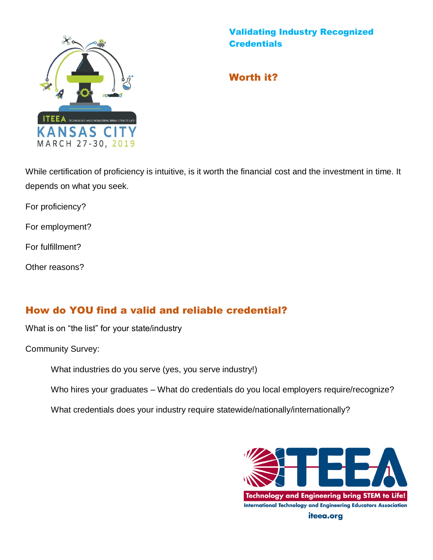

Worth it?

While certification of proficiency is intuitive, is it worth the financial cost and the investment in time. It depends on what you seek.

For proficiency?

For employment?

For fulfillment?

Other reasons?

# How do YOU find a valid and reliable credential?

What is on "the list" for your state/industry

Community Survey:

What industries do you serve (yes, you serve industry!)

Who hires your graduates – What do credentials do you local employers require/recognize?

What credentials does your industry require statewide/nationally/internationally?

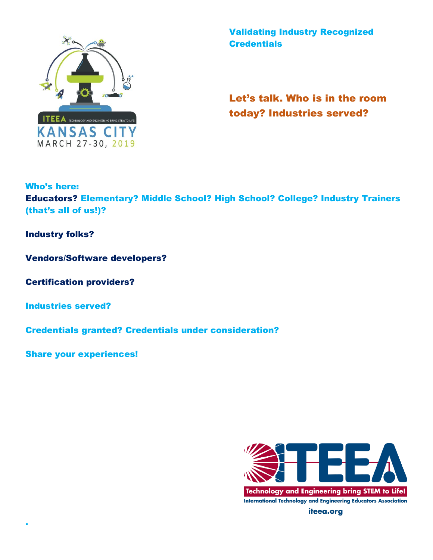

Let's talk. Who is in the room today? Industries served?

#### Who's here:

Educators? Elementary? Middle School? High School? College? Industry Trainers (that's all of us!)?

Industry folks?

Vendors/Software developers?

Certification providers?

Industries served?

.

Credentials granted? Credentials under consideration?

Share your experiences!

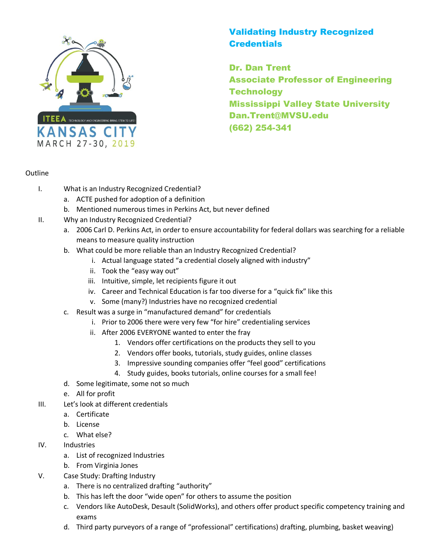

Dr. Dan Trent Associate Professor of Engineering **Technology** Mississippi Valley State University Dan.Trent@MVSU.edu (662) 254-341

#### **Outline**

- I. What is an Industry Recognized Credential?
	- a. ACTE pushed for adoption of a definition
	- b. Mentioned numerous times in Perkins Act, but never defined
- II. Why an Industry Recognized Credential?
	- a. 2006 Carl D. Perkins Act, in order to ensure accountability for federal dollars was searching for a reliable means to measure quality instruction
	- b. What could be more reliable than an Industry Recognized Credential?
		- i. Actual language stated "a credential closely aligned with industry"
		- ii. Took the "easy way out"
		- iii. Intuitive, simple, let recipients figure it out
		- iv. Career and Technical Education is far too diverse for a "quick fix" like this
		- v. Some (many?) Industries have no recognized credential
	- c. Result was a surge in "manufactured demand" for credentials
		- i. Prior to 2006 there were very few "for hire" credentialing services
		- ii. After 2006 EVERYONE wanted to enter the fray
			- 1. Vendors offer certifications on the products they sell to you
			- 2. Vendors offer books, tutorials, study guides, online classes
			- 3. Impressive sounding companies offer "feel good" certifications
			- 4. Study guides, books tutorials, online courses for a small fee!
	- d. Some legitimate, some not so much
	- e. All for profit
- III. Let's look at different credentials
	- a. Certificate
	- b. License
	- c. What else?
- IV. Industries
	- a. List of recognized Industries
	- b. From Virginia Jones
- V. Case Study: Drafting Industry
	- a. There is no centralized drafting "authority"
	- b. This has left the door "wide open" for others to assume the position
	- c. Vendors like AutoDesk, Desault (SolidWorks), and others offer product specific competency training and exams
	- d. Third party purveyors of a range of "professional" certifications) drafting, plumbing, basket weaving)